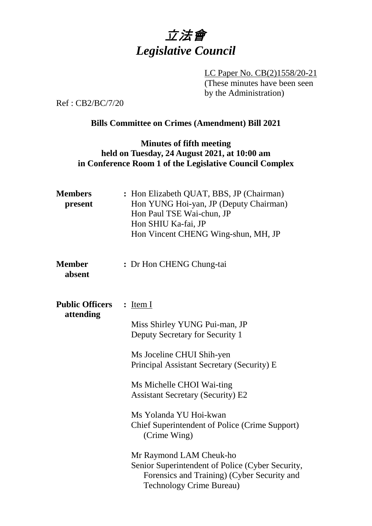

LC Paper No. CB(2)1558/20-21 (These minutes have been seen by the Administration)

Ref : CB2/BC/7/20

# **Bills Committee on Crimes (Amendment) Bill 2021**

#### **Minutes of fifth meeting held on Tuesday, 24 August 2021, at 10:00 am in Conference Room 1 of the Legislative Council Complex**

| <b>Members</b><br>present           | : Hon Elizabeth QUAT, BBS, JP (Chairman)<br>Hon YUNG Hoi-yan, JP (Deputy Chairman)<br>Hon Paul TSE Wai-chun, JP<br>Hon SHIU Ka-fai, JP<br>Hon Vincent CHENG Wing-shun, MH, JP |
|-------------------------------------|-------------------------------------------------------------------------------------------------------------------------------------------------------------------------------|
| <b>Member</b><br>absent             | : Dr Hon CHENG Chung-tai                                                                                                                                                      |
| <b>Public Officers</b><br>attending | : <u>Item I</u>                                                                                                                                                               |
|                                     | Miss Shirley YUNG Pui-man, JP<br>Deputy Secretary for Security 1                                                                                                              |
|                                     | Ms Joceline CHUI Shih-yen<br>Principal Assistant Secretary (Security) E                                                                                                       |
|                                     | Ms Michelle CHOI Wai-ting<br><b>Assistant Secretary (Security) E2</b>                                                                                                         |
|                                     | Ms Yolanda YU Hoi-kwan<br><b>Chief Superintendent of Police (Crime Support)</b><br>(Crime Wing)                                                                               |
|                                     | Mr Raymond LAM Cheuk-ho<br>Senior Superintendent of Police (Cyber Security,<br>Forensics and Training) (Cyber Security and<br><b>Technology Crime Bureau)</b>                 |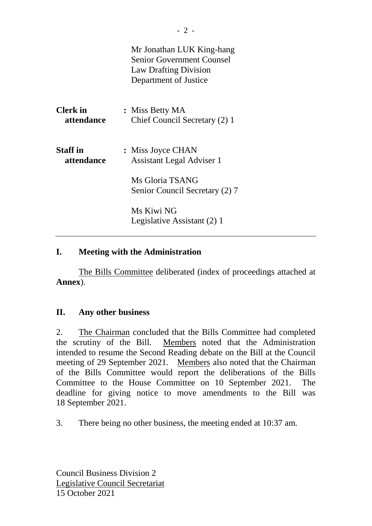|                               | Mr Jonathan LUK King-hang<br><b>Senior Government Counsel</b><br><b>Law Drafting Division</b><br>Department of Justice |
|-------------------------------|------------------------------------------------------------------------------------------------------------------------|
| <b>Clerk</b> in<br>attendance | : Miss Betty MA<br>Chief Council Secretary (2) 1                                                                       |
| <b>Staff</b> in<br>attendance | : Miss Joyce CHAN<br><b>Assistant Legal Adviser 1</b>                                                                  |
|                               | Ms Gloria TSANG<br>Senior Council Secretary (2) 7                                                                      |
|                               | Ms Kiwi NG<br>Legislative Assistant (2) 1                                                                              |

#### **I. Meeting with the Administration**

The Bills Committee deliberated (index of proceedings attached at **Annex**).

# **II. Any other business**

2. The Chairman concluded that the Bills Committee had completed the scrutiny of the Bill. Members noted that the Administration intended to resume the Second Reading debate on the Bill at the Council meeting of 29 September 2021. Members also noted that the Chairman of the Bills Committee would report the deliberations of the Bills Committee to the House Committee on 10 September 2021. The deadline for giving notice to move amendments to the Bill was 18 September 2021.

3. There being no other business, the meeting ended at 10:37 am.

Council Business Division 2 Legislative Council Secretariat 15 October 2021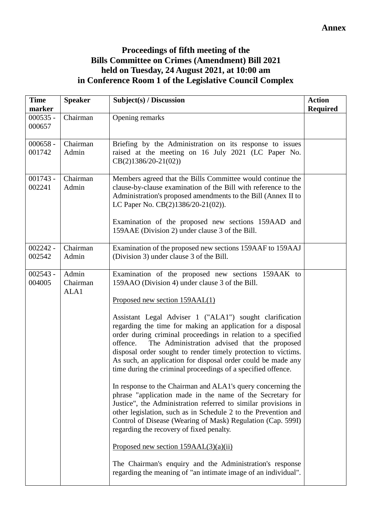# **Proceedings of fifth meeting of the Bills Committee on Crimes (Amendment) Bill 2021 held on Tuesday, 24 August 2021, at 10:00 am in Conference Room 1 of the Legislative Council Complex**

|                           | Subject(s) / Discussion                                                                                                                                                                                                                                                                                                                                                                                                                                                                                                                                                                                                                                                                                                                                                                                                                                                                                                                                                                                                                                                          | <b>Action</b><br><b>Required</b>                               |
|---------------------------|----------------------------------------------------------------------------------------------------------------------------------------------------------------------------------------------------------------------------------------------------------------------------------------------------------------------------------------------------------------------------------------------------------------------------------------------------------------------------------------------------------------------------------------------------------------------------------------------------------------------------------------------------------------------------------------------------------------------------------------------------------------------------------------------------------------------------------------------------------------------------------------------------------------------------------------------------------------------------------------------------------------------------------------------------------------------------------|----------------------------------------------------------------|
| Chairman                  | Opening remarks                                                                                                                                                                                                                                                                                                                                                                                                                                                                                                                                                                                                                                                                                                                                                                                                                                                                                                                                                                                                                                                                  |                                                                |
| Chairman<br>Admin         | Briefing by the Administration on its response to issues<br>raised at the meeting on 16 July 2021 (LC Paper No.<br>$CB(2)1386/20-21(02))$                                                                                                                                                                                                                                                                                                                                                                                                                                                                                                                                                                                                                                                                                                                                                                                                                                                                                                                                        |                                                                |
| Chairman<br>Admin         | Members agreed that the Bills Committee would continue the<br>clause-by-clause examination of the Bill with reference to the<br>Administration's proposed amendments to the Bill (Annex II to<br>LC Paper No. CB(2)1386/20-21(02)).<br>Examination of the proposed new sections 159AAD and<br>159AAE (Division 2) under clause 3 of the Bill.                                                                                                                                                                                                                                                                                                                                                                                                                                                                                                                                                                                                                                                                                                                                    |                                                                |
| Chairman<br>Admin         | Examination of the proposed new sections 159AAF to 159AAJ<br>(Division 3) under clause 3 of the Bill.                                                                                                                                                                                                                                                                                                                                                                                                                                                                                                                                                                                                                                                                                                                                                                                                                                                                                                                                                                            |                                                                |
| Admin<br>Chairman<br>ALA1 | Examination of the proposed new sections 159AAK to<br>159AAO (Division 4) under clause 3 of the Bill.<br>Proposed new section 159AAL(1)<br>Assistant Legal Adviser 1 ("ALA1") sought clarification<br>regarding the time for making an application for a disposal<br>order during criminal proceedings in relation to a specified<br>The Administration advised that the proposed<br>offence.<br>disposal order sought to render timely protection to victims.<br>As such, an application for disposal order could be made any<br>time during the criminal proceedings of a specified offence.<br>In response to the Chairman and ALA1's query concerning the<br>phrase "application made in the name of the Secretary for<br>Justice", the Administration referred to similar provisions in<br>other legislation, such as in Schedule 2 to the Prevention and<br>Control of Disease (Wearing of Mask) Regulation (Cap. 599I)<br>regarding the recovery of fixed penalty.<br>Proposed new section $159AAL(3)(a)(ii)$<br>The Chairman's enquiry and the Administration's response |                                                                |
|                           |                                                                                                                                                                                                                                                                                                                                                                                                                                                                                                                                                                                                                                                                                                                                                                                                                                                                                                                                                                                                                                                                                  | regarding the meaning of "an intimate image of an individual". |